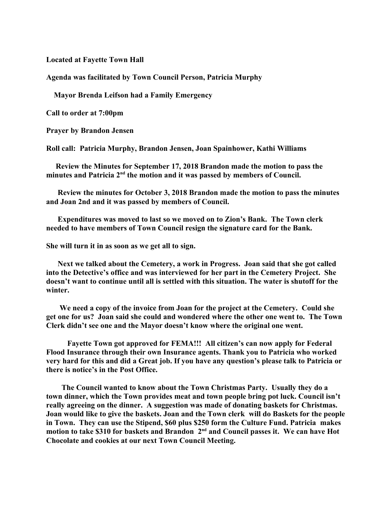**Located at Fayette Town Hall**

**Agenda was facilitated by Town Council Person, Patricia Murphy**

 **Mayor Brenda Leifson had a Family Emergency** 

**Call to order at 7:00pm**

**Prayer by Brandon Jensen**

**Roll call: Patricia Murphy, Brandon Jensen, Joan Spainhower, Kathi Williams**

 **Review the Minutes for September 17, 2018 Brandon made the motion to pass the minutes and Patricia 2nd the motion and it was passed by members of Council.**

 **Review the minutes for October 3, 2018 Brandon made the motion to pass the minutes and Joan 2nd and it was passed by members of Council.**

 **Expenditures was moved to last so we moved on to Zion's Bank. The Town clerk needed to have members of Town Council resign the signature card for the Bank.**

**She will turn it in as soon as we get all to sign.**

 **Next we talked about the Cemetery, a work in Progress. Joan said that she got called into the Detective's office and was interviewed for her part in the Cemetery Project. She doesn't want to continue until all is settled with this situation. The water is shutoff for the winter.**

 **We need a copy of the invoice from Joan for the project at the Cemetery. Could she get one for us? Joan said she could and wondered where the other one went to. The Town Clerk didn't see one and the Mayor doesn't know where the original one went.**

**Fayette Town got approved for FEMA!!! All citizen's can now apply for Federal Flood Insurance through their own Insurance agents. Thank you to Patricia who worked very hard for this and did a Great job. If you have any question's please talk to Patricia or there is notice's in the Post Office.**

 **The Council wanted to know about the Town Christmas Party. Usually they do a town dinner, which the Town provides meat and town people bring pot luck. Council isn't really agreeing on the dinner. A suggestion was made of donating baskets for Christmas. Joan would like to give the baskets. Joan and the Town clerk will do Baskets for the people in Town. They can use the Stipend, \$60 plus \$250 form the Culture Fund. Patricia makes**  motion to take \$310 for baskets and Brandon 2<sup>nd</sup> and Council passes it. We can have Hot **Chocolate and cookies at our next Town Council Meeting.**